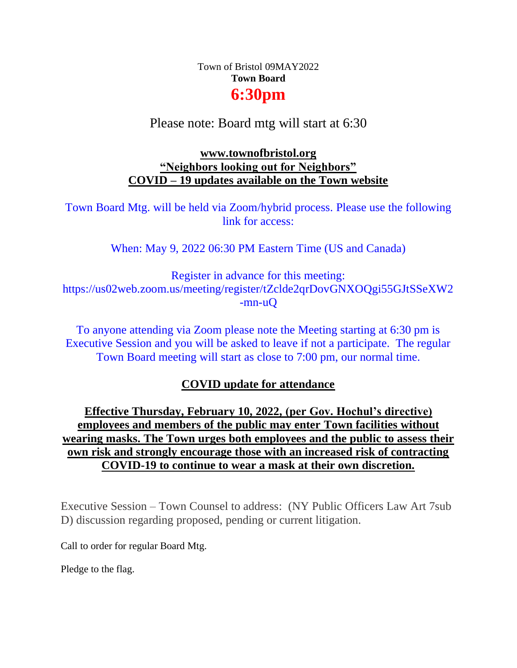# Town of Bristol 09MAY2022 **Town Board 6:30pm**

# Please note: Board mtg will start at 6:30

### **[www.townofbristol.org](http://www.townofbristol.org/) "Neighbors looking out for Neighbors" COVID – 19 updates available on the Town website**

Town Board Mtg. will be held via Zoom/hybrid process. Please use the following link for access:

When: May 9, 2022 06:30 PM Eastern Time (US and Canada)

Register in advance for this meeting: https://us02web.zoom.us/meeting/register/tZclde2qrDovGNXOQgi55GJtSSeXW2 -mn-uQ

To anyone attending via Zoom please note the Meeting starting at 6:30 pm is Executive Session and you will be asked to leave if not a participate. The regular Town Board meeting will start as close to 7:00 pm, our normal time.

## **COVID update for attendance**

**Effective Thursday, February 10, 2022, (per Gov. Hochul's directive) employees and members of the public may enter Town facilities without wearing masks. The Town urges both employees and the public to assess their own risk and strongly encourage those with an increased risk of contracting COVID-19 to continue to wear a mask at their own discretion.** 

Executive Session – Town Counsel to address: (NY Public Officers Law Art 7sub D) discussion regarding proposed, pending or current litigation.

Call to order for regular Board Mtg.

Pledge to the flag.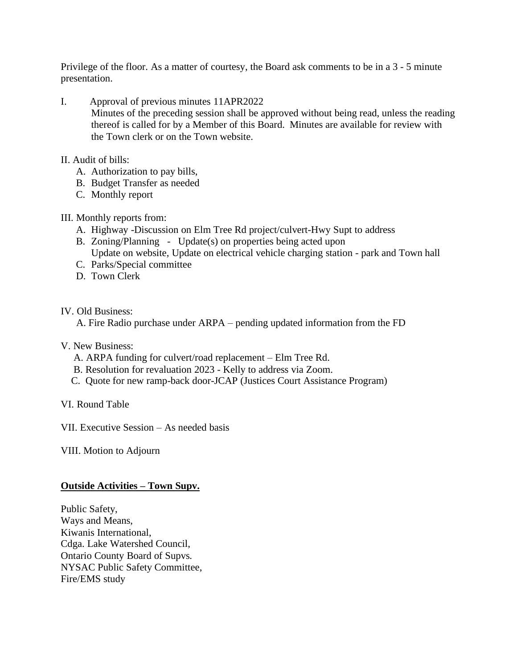Privilege of the floor. As a matter of courtesy, the Board ask comments to be in a 3 - 5 minute presentation.

I. Approval of previous minutes 11APR2022

Minutes of the preceding session shall be approved without being read, unless the reading thereof is called for by a Member of this Board. Minutes are available for review with the Town clerk or on the Town website.

- II. Audit of bills:
	- A. Authorization to pay bills,
	- B. Budget Transfer as needed
	- C. Monthly report
- III. Monthly reports from:
	- A. Highway -Discussion on Elm Tree Rd project/culvert-Hwy Supt to address
	- B. Zoning/Planning Update(s) on properties being acted upon
		- Update on website, Update on electrical vehicle charging station park and Town hall
	- C. Parks/Special committee
	- D. Town Clerk

IV. Old Business:

A. Fire Radio purchase under ARPA – pending updated information from the FD

- V. New Business:
	- A. ARPA funding for culvert/road replacement Elm Tree Rd.
	- B. Resolution for revaluation 2023 Kelly to address via Zoom.
	- C. Quote for new ramp-back door-JCAP (Justices Court Assistance Program)

VI. Round Table

VII. Executive Session – As needed basis

VIII. Motion to Adjourn

#### **Outside Activities – Town Supv.**

Public Safety, Ways and Means, Kiwanis International, Cdga. Lake Watershed Council, Ontario County Board of Supvs. NYSAC Public Safety Committee, Fire/EMS study